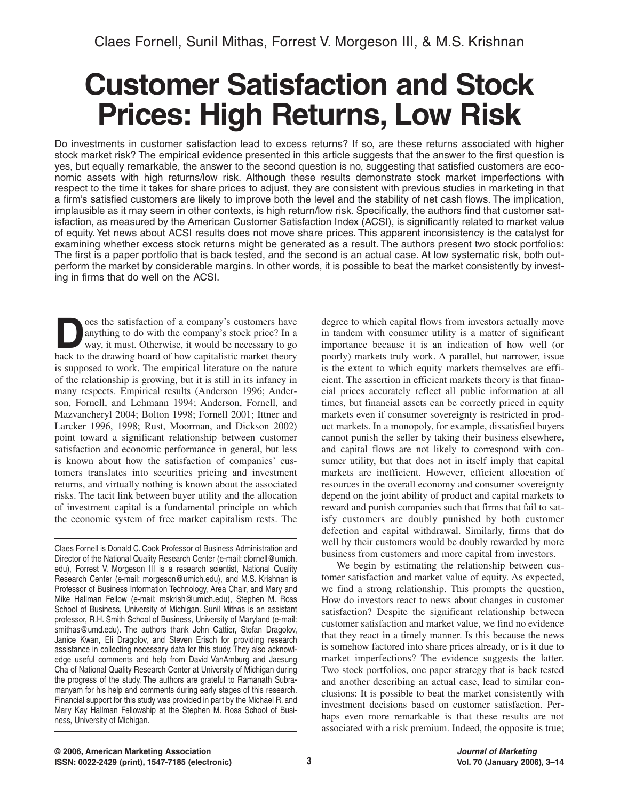# **Customer Satisfaction and Stock Prices: High Returns, Low Risk**

Do investments in customer satisfaction lead to excess returns? If so, are these returns associated with higher stock market risk? The empirical evidence presented in this article suggests that the answer to the first question is yes, but equally remarkable, the answer to the second question is no, suggesting that satisfied customers are economic assets with high returns/low risk. Although these results demonstrate stock market imperfections with respect to the time it takes for share prices to adjust, they are consistent with previous studies in marketing in that a firm's satisfied customers are likely to improve both the level and the stability of net cash flows. The implication, implausible as it may seem in other contexts, is high return/low risk. Specifically, the authors find that customer satisfaction, as measured by the American Customer Satisfaction Index (ACSI), is significantly related to market value of equity. Yet news about ACSI results does not move share prices. This apparent inconsistency is the catalyst for examining whether excess stock returns might be generated as a result. The authors present two stock portfolios: The first is a paper portfolio that is back tested, and the second is an actual case. At low systematic risk, both outperform the market by considerable margins. In other words, it is possible to beat the market consistently by investing in firms that do well on the ACSI.

**Does the satisfaction of a company's customers have anything to do with the company's stock price? In a way, it must. Otherwise, it would be necessary to go benches to the drawing board of how conitalistic market theory** anything to do with the company's stock price? In a back to the drawing board of how capitalistic market theory is supposed to work. The empirical literature on the nature of the relationship is growing, but it is still in its infancy in many respects. Empirical results (Anderson 1996; Anderson, Fornell, and Lehmann 1994; Anderson, Fornell, and Mazvancheryl 2004; Bolton 1998; Fornell 2001; Ittner and Larcker 1996, 1998; Rust, Moorman, and Dickson 2002) point toward a significant relationship between customer satisfaction and economic performance in general, but less is known about how the satisfaction of companies' customers translates into securities pricing and investment returns, and virtually nothing is known about the associated risks. The tacit link between buyer utility and the allocation of investment capital is a fundamental principle on which the economic system of free market capitalism rests. The

Claes Fornell is Donald C. Cook Professor of Business Administration and Director of the National Quality Research Center (e-mail: cfornell@umich. edu), Forrest V. Morgeson III is a research scientist, National Quality Research Center (e-mail: morgeson@umich.edu), and M.S. Krishnan is Professor of Business Information Technology, Area Chair, and Mary and Mike Hallman Fellow (e-mail: mskrish@umich.edu), Stephen M. Ross School of Business, University of Michigan. Sunil Mithas is an assistant professor, R.H. Smith School of Business, University of Maryland (e-mail: smithas@umd.edu). The authors thank John Cattier, Stefan Dragolov, Janice Kwan, Eli Dragolov, and Steven Erisch for providing research assistance in collecting necessary data for this study. They also acknowledge useful comments and help from David VanAmburg and Jaesung Cha of National Quality Research Center at University of Michigan during the progress of the study. The authors are grateful to Ramanath Subramanyam for his help and comments during early stages of this research. Financial support for this study was provided in part by the Michael R. and Mary Kay Hallman Fellowship at the Stephen M. Ross School of Business, University of Michigan.

degree to which capital flows from investors actually move in tandem with consumer utility is a matter of significant importance because it is an indication of how well (or poorly) markets truly work. A parallel, but narrower, issue is the extent to which equity markets themselves are efficient. The assertion in efficient markets theory is that financial prices accurately reflect all public information at all times, but financial assets can be correctly priced in equity markets even if consumer sovereignty is restricted in product markets. In a monopoly, for example, dissatisfied buyers cannot punish the seller by taking their business elsewhere, and capital flows are not likely to correspond with consumer utility, but that does not in itself imply that capital markets are inefficient. However, efficient allocation of resources in the overall economy and consumer sovereignty depend on the joint ability of product and capital markets to reward and punish companies such that firms that fail to satisfy customers are doubly punished by both customer defection and capital withdrawal. Similarly, firms that do well by their customers would be doubly rewarded by more business from customers and more capital from investors.

We begin by estimating the relationship between customer satisfaction and market value of equity. As expected, we find a strong relationship. This prompts the question, How do investors react to news about changes in customer satisfaction? Despite the significant relationship between customer satisfaction and market value, we find no evidence that they react in a timely manner. Is this because the news is somehow factored into share prices already, or is it due to market imperfections? The evidence suggests the latter. Two stock portfolios, one paper strategy that is back tested and another describing an actual case, lead to similar conclusions: It is possible to beat the market consistently with investment decisions based on customer satisfaction. Perhaps even more remarkable is that these results are not associated with a risk premium. Indeed, the opposite is true;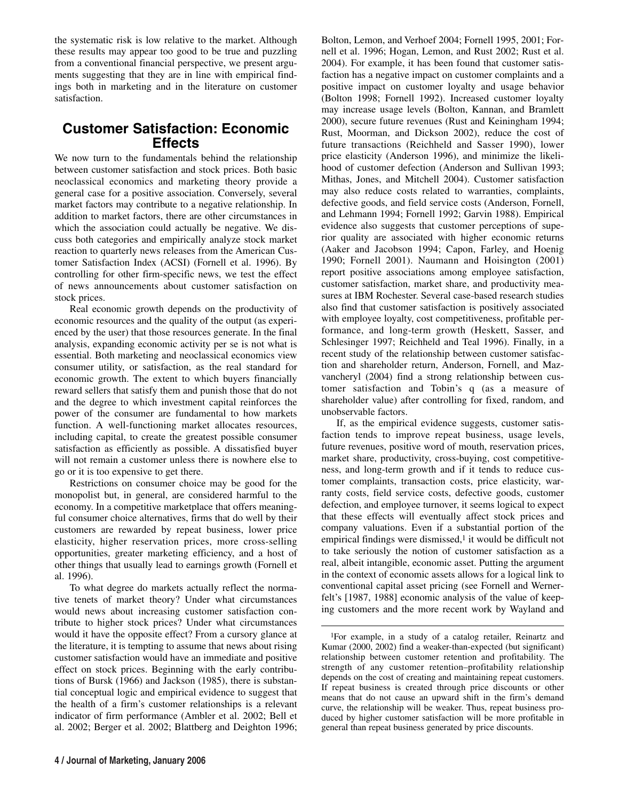the systematic risk is low relative to the market. Although these results may appear too good to be true and puzzling from a conventional financial perspective, we present arguments suggesting that they are in line with empirical findings both in marketing and in the literature on customer satisfaction.

# **Customer Satisfaction: Economic Effects**

We now turn to the fundamentals behind the relationship between customer satisfaction and stock prices. Both basic neoclassical economics and marketing theory provide a general case for a positive association. Conversely, several market factors may contribute to a negative relationship. In addition to market factors, there are other circumstances in which the association could actually be negative. We discuss both categories and empirically analyze stock market reaction to quarterly news releases from the American Customer Satisfaction Index (ACSI) (Fornell et al. 1996). By controlling for other firm-specific news, we test the effect of news announcements about customer satisfaction on stock prices.

Real economic growth depends on the productivity of economic resources and the quality of the output (as experienced by the user) that those resources generate. In the final analysis, expanding economic activity per se is not what is essential. Both marketing and neoclassical economics view consumer utility, or satisfaction, as the real standard for economic growth. The extent to which buyers financially reward sellers that satisfy them and punish those that do not and the degree to which investment capital reinforces the power of the consumer are fundamental to how markets function. A well-functioning market allocates resources, including capital, to create the greatest possible consumer satisfaction as efficiently as possible. A dissatisfied buyer will not remain a customer unless there is nowhere else to go or it is too expensive to get there.

Restrictions on consumer choice may be good for the monopolist but, in general, are considered harmful to the economy. In a competitive marketplace that offers meaningful consumer choice alternatives, firms that do well by their customers are rewarded by repeat business, lower price elasticity, higher reservation prices, more cross-selling opportunities, greater marketing efficiency, and a host of other things that usually lead to earnings growth (Fornell et al. 1996).

To what degree do markets actually reflect the normative tenets of market theory? Under what circumstances would news about increasing customer satisfaction contribute to higher stock prices? Under what circumstances would it have the opposite effect? From a cursory glance at the literature, it is tempting to assume that news about rising customer satisfaction would have an immediate and positive effect on stock prices. Beginning with the early contributions of Bursk (1966) and Jackson (1985), there is substantial conceptual logic and empirical evidence to suggest that the health of a firm's customer relationships is a relevant indicator of firm performance (Ambler et al. 2002; Bell et al. 2002; Berger et al. 2002; Blattberg and Deighton 1996;

Bolton, Lemon, and Verhoef 2004; Fornell 1995, 2001; Fornell et al. 1996; Hogan, Lemon, and Rust 2002; Rust et al. 2004). For example, it has been found that customer satisfaction has a negative impact on customer complaints and a positive impact on customer loyalty and usage behavior (Bolton 1998; Fornell 1992). Increased customer loyalty may increase usage levels (Bolton, Kannan, and Bramlett 2000), secure future revenues (Rust and Keiningham 1994; Rust, Moorman, and Dickson 2002), reduce the cost of future transactions (Reichheld and Sasser 1990), lower price elasticity (Anderson 1996), and minimize the likelihood of customer defection (Anderson and Sullivan 1993; Mithas, Jones, and Mitchell 2004). Customer satisfaction may also reduce costs related to warranties, complaints, defective goods, and field service costs (Anderson, Fornell, and Lehmann 1994; Fornell 1992; Garvin 1988). Empirical evidence also suggests that customer perceptions of superior quality are associated with higher economic returns (Aaker and Jacobson 1994; Capon, Farley, and Hoenig 1990; Fornell 2001). Naumann and Hoisington (2001) report positive associations among employee satisfaction, customer satisfaction, market share, and productivity measures at IBM Rochester. Several case-based research studies also find that customer satisfaction is positively associated with employee loyalty, cost competitiveness, profitable performance, and long-term growth (Heskett, Sasser, and Schlesinger 1997; Reichheld and Teal 1996). Finally, in a recent study of the relationship between customer satisfaction and shareholder return, Anderson, Fornell, and Mazvancheryl (2004) find a strong relationship between customer satisfaction and Tobin's q (as a measure of shareholder value) after controlling for fixed, random, and unobservable factors.

If, as the empirical evidence suggests, customer satisfaction tends to improve repeat business, usage levels, future revenues, positive word of mouth, reservation prices, market share, productivity, cross-buying, cost competitiveness, and long-term growth and if it tends to reduce customer complaints, transaction costs, price elasticity, warranty costs, field service costs, defective goods, customer defection, and employee turnover, it seems logical to expect that these effects will eventually affect stock prices and company valuations. Even if a substantial portion of the empirical findings were dismissed,<sup>1</sup> it would be difficult not to take seriously the notion of customer satisfaction as a real, albeit intangible, economic asset. Putting the argument in the context of economic assets allows for a logical link to conventional capital asset pricing (see Fornell and Wernerfelt's [1987, 1988] economic analysis of the value of keeping customers and the more recent work by Wayland and

<sup>1</sup>For example, in a study of a catalog retailer, Reinartz and Kumar (2000, 2002) find a weaker-than-expected (but significant) relationship between customer retention and profitability. The strength of any customer retention–profitability relationship depends on the cost of creating and maintaining repeat customers. If repeat business is created through price discounts or other means that do not cause an upward shift in the firm's demand curve, the relationship will be weaker. Thus, repeat business produced by higher customer satisfaction will be more profitable in general than repeat business generated by price discounts.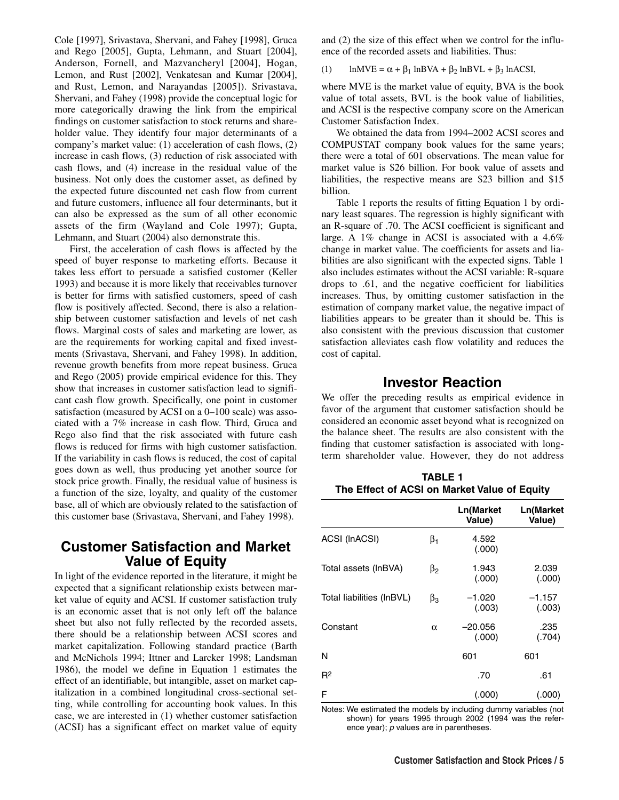Cole [1997], Srivastava, Shervani, and Fahey [1998], Gruca and Rego [2005], Gupta, Lehmann, and Stuart [2004], Anderson, Fornell, and Mazvancheryl [2004], Hogan, Lemon, and Rust [2002], Venkatesan and Kumar [2004], and Rust, Lemon, and Narayandas [2005]). Srivastava, Shervani, and Fahey (1998) provide the conceptual logic for more categorically drawing the link from the empirical findings on customer satisfaction to stock returns and shareholder value. They identify four major determinants of a company's market value: (1) acceleration of cash flows, (2) increase in cash flows, (3) reduction of risk associated with cash flows, and (4) increase in the residual value of the business. Not only does the customer asset, as defined by the expected future discounted net cash flow from current and future customers, influence all four determinants, but it can also be expressed as the sum of all other economic assets of the firm (Wayland and Cole 1997); Gupta, Lehmann, and Stuart (2004) also demonstrate this.

First, the acceleration of cash flows is affected by the speed of buyer response to marketing efforts. Because it takes less effort to persuade a satisfied customer (Keller 1993) and because it is more likely that receivables turnover is better for firms with satisfied customers, speed of cash flow is positively affected. Second, there is also a relationship between customer satisfaction and levels of net cash flows. Marginal costs of sales and marketing are lower, as are the requirements for working capital and fixed investments (Srivastava, Shervani, and Fahey 1998). In addition, revenue growth benefits from more repeat business. Gruca and Rego (2005) provide empirical evidence for this. They show that increases in customer satisfaction lead to significant cash flow growth. Specifically, one point in customer satisfaction (measured by ACSI on a 0–100 scale) was associated with a 7% increase in cash flow. Third, Gruca and Rego also find that the risk associated with future cash flows is reduced for firms with high customer satisfaction. If the variability in cash flows is reduced, the cost of capital goes down as well, thus producing yet another source for stock price growth. Finally, the residual value of business is a function of the size, loyalty, and quality of the customer base, all of which are obviously related to the satisfaction of this customer base (Srivastava, Shervani, and Fahey 1998).

## **Customer Satisfaction and Market Value of Equity**

In light of the evidence reported in the literature, it might be expected that a significant relationship exists between market value of equity and ACSI. If customer satisfaction truly is an economic asset that is not only left off the balance sheet but also not fully reflected by the recorded assets, there should be a relationship between ACSI scores and market capitalization. Following standard practice (Barth and McNichols 1994; Ittner and Larcker 1998; Landsman 1986), the model we define in Equation 1 estimates the effect of an identifiable, but intangible, asset on market capitalization in a combined longitudinal cross-sectional setting, while controlling for accounting book values. In this case, we are interested in (1) whether customer satisfaction (ACSI) has a significant effect on market value of equity

and (2) the size of this effect when we control for the influence of the recorded assets and liabilities. Thus:

(1)  $\ln MVE = \alpha + \beta_1 \ln BVA + \beta_2 \ln BVL + \beta_3 \ln ACSI$ ,

where MVE is the market value of equity, BVA is the book value of total assets, BVL is the book value of liabilities, and ACSI is the respective company score on the American Customer Satisfaction Index.

We obtained the data from 1994–2002 ACSI scores and COMPUSTAT company book values for the same years; there were a total of 601 observations. The mean value for market value is \$26 billion. For book value of assets and liabilities, the respective means are \$23 billion and \$15 billion.

Table 1 reports the results of fitting Equation 1 by ordinary least squares. The regression is highly significant with an R-square of .70. The ACSI coefficient is significant and large. A 1% change in ACSI is associated with a 4.6% change in market value. The coefficients for assets and liabilities are also significant with the expected signs. Table 1 also includes estimates without the ACSI variable: R-square drops to .61, and the negative coefficient for liabilities increases. Thus, by omitting customer satisfaction in the estimation of company market value, the negative impact of liabilities appears to be greater than it should be. This is also consistent with the previous discussion that customer satisfaction alleviates cash flow volatility and reduces the cost of capital.

## **Investor Reaction**

We offer the preceding results as empirical evidence in favor of the argument that customer satisfaction should be considered an economic asset beyond what is recognized on the balance sheet. The results are also consistent with the finding that customer satisfaction is associated with longterm shareholder value. However, they do not address

**TABLE 1 The Effect of ACSI on Market Value of Equity**

|                           |           | <b>Ln(Market</b><br>Value) | <b>Ln(Market</b><br>Value) |
|---------------------------|-----------|----------------------------|----------------------------|
| ACSI (InACSI)             | $\beta_1$ | 4.592<br>(.000)            |                            |
| Total assets (InBVA)      | $\beta_2$ | 1.943<br>(.000)            | 2.039<br>(.000)            |
| Total liabilities (InBVL) | $\beta_3$ | $-1.020$<br>(.003)         | $-1.157$<br>(.003)         |
| Constant                  | $\alpha$  | $-20.056$<br>(.000)        | .235<br>(.704)             |
| Ν                         |           | 601                        | 601                        |
| R <sup>2</sup>            |           | .70                        | .61                        |
| F                         |           | (.000)                     | (.000)                     |

Notes: We estimated the models by including dummy variables (not shown) for years 1995 through 2002 (1994 was the reference year); *p* values are in parentheses.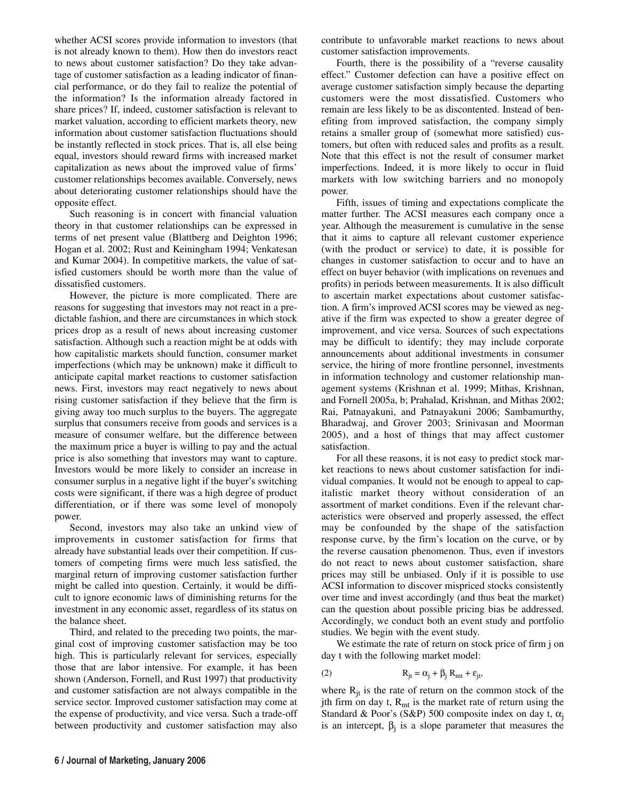whether ACSI scores provide information to investors (that is not already known to them). How then do investors react to news about customer satisfaction? Do they take advantage of customer satisfaction as a leading indicator of financial performance, or do they fail to realize the potential of the information? Is the information already factored in share prices? If, indeed, customer satisfaction is relevant to market valuation, according to efficient markets theory, new information about customer satisfaction fluctuations should be instantly reflected in stock prices. That is, all else being equal, investors should reward firms with increased market capitalization as news about the improved value of firms' customer relationships becomes available. Conversely, news about deteriorating customer relationships should have the opposite effect.

Such reasoning is in concert with financial valuation theory in that customer relationships can be expressed in terms of net present value (Blattberg and Deighton 1996; Hogan et al. 2002; Rust and Keiningham 1994; Venkatesan and Kumar 2004). In competitive markets, the value of satisfied customers should be worth more than the value of dissatisfied customers.

However, the picture is more complicated. There are reasons for suggesting that investors may not react in a predictable fashion, and there are circumstances in which stock prices drop as a result of news about increasing customer satisfaction. Although such a reaction might be at odds with how capitalistic markets should function, consumer market imperfections (which may be unknown) make it difficult to anticipate capital market reactions to customer satisfaction news. First, investors may react negatively to news about rising customer satisfaction if they believe that the firm is giving away too much surplus to the buyers. The aggregate surplus that consumers receive from goods and services is a measure of consumer welfare, but the difference between the maximum price a buyer is willing to pay and the actual price is also something that investors may want to capture. Investors would be more likely to consider an increase in consumer surplus in a negative light if the buyer's switching costs were significant, if there was a high degree of product differentiation, or if there was some level of monopoly power.

Second, investors may also take an unkind view of improvements in customer satisfaction for firms that already have substantial leads over their competition. If customers of competing firms were much less satisfied, the marginal return of improving customer satisfaction further might be called into question. Certainly, it would be difficult to ignore economic laws of diminishing returns for the investment in any economic asset, regardless of its status on the balance sheet.

Third, and related to the preceding two points, the marginal cost of improving customer satisfaction may be too high. This is particularly relevant for services, especially those that are labor intensive. For example, it has been shown (Anderson, Fornell, and Rust 1997) that productivity and customer satisfaction are not always compatible in the service sector. Improved customer satisfaction may come at the expense of productivity, and vice versa. Such a trade-off between productivity and customer satisfaction may also

contribute to unfavorable market reactions to news about customer satisfaction improvements.

Fourth, there is the possibility of a "reverse causality effect." Customer defection can have a positive effect on average customer satisfaction simply because the departing customers were the most dissatisfied. Customers who remain are less likely to be as discontented. Instead of benefiting from improved satisfaction, the company simply retains a smaller group of (somewhat more satisfied) customers, but often with reduced sales and profits as a result. Note that this effect is not the result of consumer market imperfections. Indeed, it is more likely to occur in fluid markets with low switching barriers and no monopoly power.

Fifth, issues of timing and expectations complicate the matter further. The ACSI measures each company once a year. Although the measurement is cumulative in the sense that it aims to capture all relevant customer experience (with the product or service) to date, it is possible for changes in customer satisfaction to occur and to have an effect on buyer behavior (with implications on revenues and profits) in periods between measurements. It is also difficult to ascertain market expectations about customer satisfaction. A firm's improved ACSI scores may be viewed as negative if the firm was expected to show a greater degree of improvement, and vice versa. Sources of such expectations may be difficult to identify; they may include corporate announcements about additional investments in consumer service, the hiring of more frontline personnel, investments in information technology and customer relationship management systems (Krishnan et al. 1999; Mithas, Krishnan, and Fornell 2005a, b; Prahalad, Krishnan, and Mithas 2002; Rai, Patnayakuni, and Patnayakuni 2006; Sambamurthy, Bharadwaj, and Grover 2003; Srinivasan and Moorman 2005), and a host of things that may affect customer satisfaction.

For all these reasons, it is not easy to predict stock market reactions to news about customer satisfaction for individual companies. It would not be enough to appeal to capitalistic market theory without consideration of an assortment of market conditions. Even if the relevant characteristics were observed and properly assessed, the effect may be confounded by the shape of the satisfaction response curve, by the firm's location on the curve, or by the reverse causation phenomenon. Thus, even if investors do not react to news about customer satisfaction, share prices may still be unbiased. Only if it is possible to use ACSI information to discover mispriced stocks consistently over time and invest accordingly (and thus beat the market) can the question about possible pricing bias be addressed. Accordingly, we conduct both an event study and portfolio studies. We begin with the event study.

We estimate the rate of return on stock price of firm j on day t with the following market model:

(2) 
$$
R_{jt} = \alpha_j + \beta_j R_{mt} + \varepsilon_{jt},
$$

where  $R_{it}$  is the rate of return on the common stock of the jth firm on day t,  $R<sub>mt</sub>$  is the market rate of return using the Standard & Poor's (S&P) 500 composite index on day t,  $\alpha_i$ is an intercept,  $\beta_i$  is a slope parameter that measures the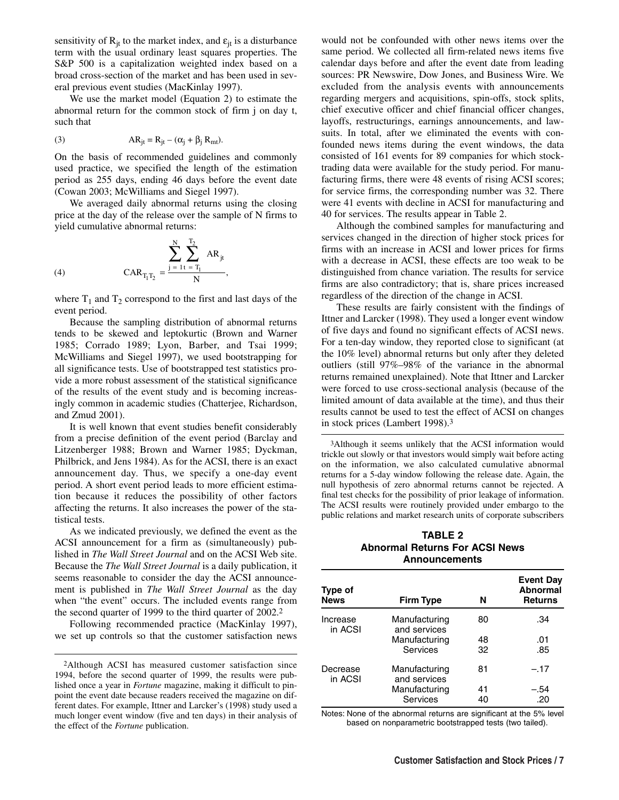sensitivity of  $R_{it}$  to the market index, and  $\varepsilon_{it}$  is a disturbance term with the usual ordinary least squares properties. The S&P 500 is a capitalization weighted index based on a broad cross-section of the market and has been used in several previous event studies (MacKinlay 1997).

We use the market model (Equation 2) to estimate the abnormal return for the common stock of firm j on day t, such that

(3) 
$$
AR_{jt} = R_{jt} - (\alpha_j + \beta_j R_{mt}).
$$

On the basis of recommended guidelines and commonly used practice, we specified the length of the estimation period as 255 days, ending 46 days before the event date (Cowan 2003; McWilliams and Siegel 1997).

We averaged daily abnormal returns using the closing price at the day of the release over the sample of N firms to yield cumulative abnormal returns:

(4) 
$$
CAR_{T_1 T_2} = \frac{\sum_{j=1}^{N} \sum_{t=T_1}^{T_2} AR_{jt}}{N},
$$

where  $T_1$  and  $T_2$  correspond to the first and last days of the event period.

Because the sampling distribution of abnormal returns tends to be skewed and leptokurtic (Brown and Warner 1985; Corrado 1989; Lyon, Barber, and Tsai 1999; McWilliams and Siegel 1997), we used bootstrapping for all significance tests. Use of bootstrapped test statistics provide a more robust assessment of the statistical significance of the results of the event study and is becoming increasingly common in academic studies (Chatterjee, Richardson, and Zmud 2001).

It is well known that event studies benefit considerably from a precise definition of the event period (Barclay and Litzenberger 1988; Brown and Warner 1985; Dyckman, Philbrick, and Jens 1984). As for the ACSI, there is an exact announcement day. Thus, we specify a one-day event period. A short event period leads to more efficient estimation because it reduces the possibility of other factors affecting the returns. It also increases the power of the statistical tests.

As we indicated previously, we defined the event as the ACSI announcement for a firm as (simultaneously) published in *The Wall Street Journal* and on the ACSI Web site. Because the *The Wall Street Journal* is a daily publication, it seems reasonable to consider the day the ACSI announcement is published in *The Wall Street Journal* as the day when "the event" occurs. The included events range from the second quarter of 1999 to the third quarter of 2002.2

Following recommended practice (MacKinlay 1997), we set up controls so that the customer satisfaction news

would not be confounded with other news items over the same period. We collected all firm-related news items five calendar days before and after the event date from leading sources: PR Newswire, Dow Jones, and Business Wire. We excluded from the analysis events with announcements regarding mergers and acquisitions, spin-offs, stock splits, chief executive officer and chief financial officer changes, layoffs, restructurings, earnings announcements, and lawsuits. In total, after we eliminated the events with confounded news items during the event windows, the data consisted of 161 events for 89 companies for which stocktrading data were available for the study period. For manufacturing firms, there were 48 events of rising ACSI scores; for service firms, the corresponding number was 32. There were 41 events with decline in ACSI for manufacturing and 40 for services. The results appear in Table 2.

Although the combined samples for manufacturing and services changed in the direction of higher stock prices for firms with an increase in ACSI and lower prices for firms with a decrease in ACSI, these effects are too weak to be distinguished from chance variation. The results for service firms are also contradictory; that is, share prices increased regardless of the direction of the change in ACSI.

These results are fairly consistent with the findings of Ittner and Larcker (1998). They used a longer event window of five days and found no significant effects of ACSI news. For a ten-day window, they reported close to significant (at the 10% level) abnormal returns but only after they deleted outliers (still 97%–98% of the variance in the abnormal returns remained unexplained). Note that Ittner and Larcker were forced to use cross-sectional analysis (because of the limited amount of data available at the time), and thus their results cannot be used to test the effect of ACSI on changes in stock prices (Lambert 1998).3

3Although it seems unlikely that the ACSI information would trickle out slowly or that investors would simply wait before acting on the information, we also calculated cumulative abnormal returns for a 5-day window following the release date. Again, the null hypothesis of zero abnormal returns cannot be rejected. A final test checks for the possibility of prior leakage of information. The ACSI results were routinely provided under embargo to the public relations and market research units of corporate subscribers

#### **TABLE 2 Abnormal Returns For ACSI News Announcements**

| Type of<br><b>News</b> | <b>Firm Type</b>              | N  | <b>Event Day</b><br><b>Abnormal</b><br><b>Returns</b> |
|------------------------|-------------------------------|----|-------------------------------------------------------|
| Increase<br>in ACSI    | Manufacturing<br>and services | 80 | .34                                                   |
|                        | Manufacturing                 | 48 | .01                                                   |
|                        | Services                      | 32 | .85                                                   |
| Decrease<br>in ACSI    | Manufacturing<br>and services | 81 | $-.17$                                                |
|                        | Manufacturing                 | 41 | -.54                                                  |
|                        | Services                      | 40 | .20                                                   |

Notes: None of the abnormal returns are significant at the 5% level based on nonparametric bootstrapped tests (two tailed).

<sup>2</sup>Although ACSI has measured customer satisfaction since 1994, before the second quarter of 1999, the results were published once a year in *Fortune* magazine, making it difficult to pinpoint the event date because readers received the magazine on different dates. For example, Ittner and Larcker's (1998) study used a much longer event window (five and ten days) in their analysis of the effect of the *Fortune* publication.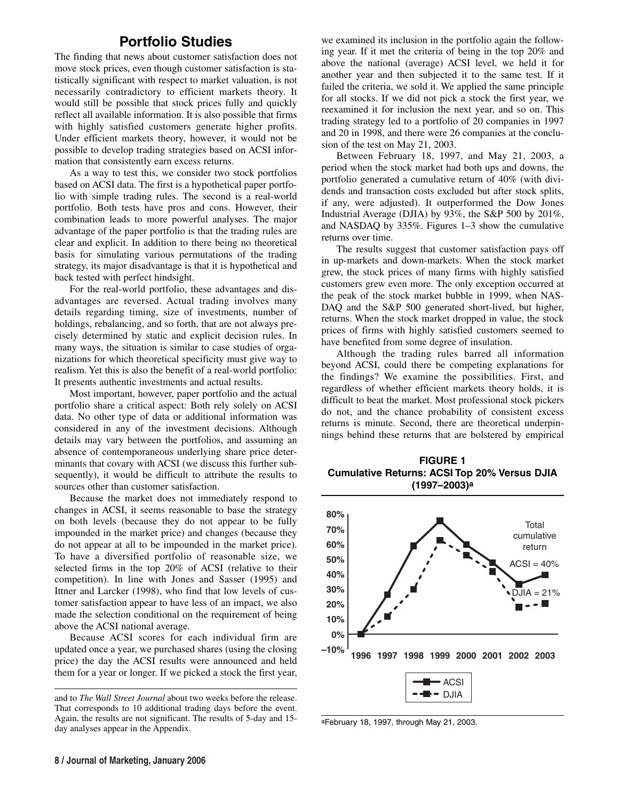# **Portfolio Studies**

The finding that news about customer satisfaction does not move stock prices, even though customer satisfaction is statistically significant with respect to market valuation, is not necessarily contradictory to efficient markets theory. It would still be possible that stock prices fully and quickly reflect all available information. It is also possible that firms with highly satisfied customers generate higher profits. Under efficient markets theory, however, it would not be possible to develop trading strategies based on ACSI information that consistently earn excess returns.

As a way to test this, we consider two stock portfolios based on ACSI data. The first is a hypothetical paper portfolio with simple trading rules. The second is a real-world portfolio. Both tests have pros and cons. However, their combination leads to more powerful analyses. The major advantage of the paper portfolio is that the trading rules are clear and explicit. In addition to there being no theoretical basis for simulating various permutations of the trading strategy, its major disadvantage is that it is hypothetical and back tested with perfect hindsight.

For the real-world portfolio, these advantages and disadvantages are reversed. Actual trading involves many details regarding timing, size of investments, number of holdings, rebalancing, and so forth, that are not always precisely determined by static and explicit decision rules. In many ways, the situation is similar to case studies of organizations for which theoretical specificity must give way to realism. Yet this is also the benefit of a real-world portfolio: It presents authentic investments and actual results.

Most important, however, paper portfolio and the actual portfolio share a critical aspect: Both rely solely on ACSI data. No other type of data or additional information was considered in any of the investment decisions. Although details may vary between the portfolios, and assuming an absence of contemporaneous underlying share price determinants that covary with ACSI (we discuss this further subsequently), it would be difficult to attribute the results to sources other than customer satisfaction.

Because the market does not immediately respond to changes in ACSI, it seems reasonable to base the strategy on both levels (because they do not appear to be fully impounded in the market price) and changes (because they do not appear at all to be impounded in the market price). To have a diversified portfolio of reasonable size, we selected firms in the top 20% of ACSI (relative to their competition). In line with Jones and Sasser (1995) and Ittner and Larcker (1998), who find that low levels of customer satisfaction appear to have less of an impact, we also made the selection conditional on the requirement of being above the ACSI national average.

Because ACSI scores for each individual firm are updated once a year, we purchased shares (using the closing price) the day the ACSI results were announced and held them for a year or longer. If we picked a stock the first year,

we examined its inclusion in the portfolio again the following year. If it met the criteria of being in the top 20% and above the national (average) ACSI level, we held it for another year and then subjected it to the same test. If it failed the criteria, we sold it. We applied the same principle for all stocks. If we did not pick a stock the first year, we reexamined it for inclusion the next year, and so on. This trading strategy led to a portfolio of 20 companies in 1997 and 20 in 1998, and there were 26 companies at the conclusion of the test on May 21, 2003.

Between February 18, 1997, and May 21, 2003, a period when the stock market had both ups and downs, the portfolio generated a cumulative return of 40% (with dividends and transaction costs excluded but after stock splits, if any, were adjusted). It outperformed the Dow Jones Industrial Average (DJIA) by 93%, the S&P 500 by 201%, and NASDAQ by 335%. Figures 1–3 show the cumulative returns over time.

The results suggest that customer satisfaction pays off in up-markets and down-markets. When the stock market grew, the stock prices of many firms with highly satisfied customers grew even more. The only exception occurred at the peak of the stock market bubble in 1999, when NAS-DAQ and the S&P 500 generated short-lived, but higher, returns. When the stock market dropped in value, the stock prices of firms with highly satisfied customers seemed to have benefited from some degree of insulation.

Although the trading rules barred all information beyond ACSI, could there be competing explanations for the findings? We examine the possibilities. First, and regardless of whether efficient markets theory holds, it is difficult to beat the market. Most professional stock pickers do not, and the chance probability of consistent excess returns is minute. Second, there are theoretical underpinnings behind these returns that are bolstered by empirical





aFebruary 18, 1997, through May 21, 2003.

and to *The Wall Street Journal* about two weeks before the release. That corresponds to 10 additional trading days before the event. Again, the results are not significant. The results of 5-day and 15 day analyses appear in the Appendix.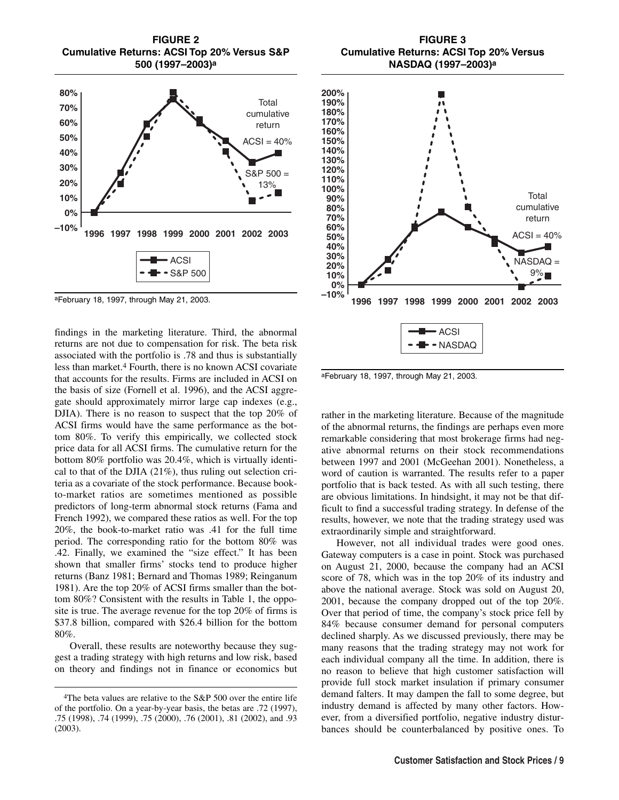

aFebruary 18, 1997, through May 21, 2003.

findings in the marketing literature. Third, the abnormal returns are not due to compensation for risk. The beta risk associated with the portfolio is .78 and thus is substantially less than market.4 Fourth, there is no known ACSI covariate that accounts for the results. Firms are included in ACSI on the basis of size (Fornell et al. 1996), and the ACSI aggregate should approximately mirror large cap indexes (e.g., DJIA). There is no reason to suspect that the top 20% of ACSI firms would have the same performance as the bottom 80%. To verify this empirically, we collected stock price data for all ACSI firms. The cumulative return for the bottom 80% portfolio was 20.4%, which is virtually identical to that of the DJIA (21%), thus ruling out selection criteria as a covariate of the stock performance. Because bookto-market ratios are sometimes mentioned as possible predictors of long-term abnormal stock returns (Fama and French 1992), we compared these ratios as well. For the top 20%, the book-to-market ratio was .41 for the full time period. The corresponding ratio for the bottom 80% was .42. Finally, we examined the "size effect." It has been shown that smaller firms' stocks tend to produce higher returns (Banz 1981; Bernard and Thomas 1989; Reinganum 1981). Are the top 20% of ACSI firms smaller than the bottom 80%? Consistent with the results in Table 1, the opposite is true. The average revenue for the top 20% of firms is \$37.8 billion, compared with \$26.4 billion for the bottom 80%.

Overall, these results are noteworthy because they suggest a trading strategy with high returns and low risk, based on theory and findings not in finance or economics but





aFebruary 18, 1997, through May 21, 2003.

rather in the marketing literature. Because of the magnitude of the abnormal returns, the findings are perhaps even more remarkable considering that most brokerage firms had negative abnormal returns on their stock recommendations between 1997 and 2001 (McGeehan 2001). Nonetheless, a word of caution is warranted. The results refer to a paper portfolio that is back tested. As with all such testing, there are obvious limitations. In hindsight, it may not be that difficult to find a successful trading strategy. In defense of the results, however, we note that the trading strategy used was extraordinarily simple and straightforward.

However, not all individual trades were good ones. Gateway computers is a case in point. Stock was purchased on August 21, 2000, because the company had an ACSI score of 78, which was in the top 20% of its industry and above the national average. Stock was sold on August 20, 2001, because the company dropped out of the top 20%. Over that period of time, the company's stock price fell by 84% because consumer demand for personal computers declined sharply. As we discussed previously, there may be many reasons that the trading strategy may not work for each individual company all the time. In addition, there is no reason to believe that high customer satisfaction will provide full stock market insulation if primary consumer demand falters. It may dampen the fall to some degree, but industry demand is affected by many other factors. However, from a diversified portfolio, negative industry disturbances should be counterbalanced by positive ones. To

<sup>4</sup>The beta values are relative to the S&P 500 over the entire life of the portfolio. On a year-by-year basis, the betas are .72 (1997), .75 (1998), .74 (1999), .75 (2000), .76 (2001), .81 (2002), and .93 (2003).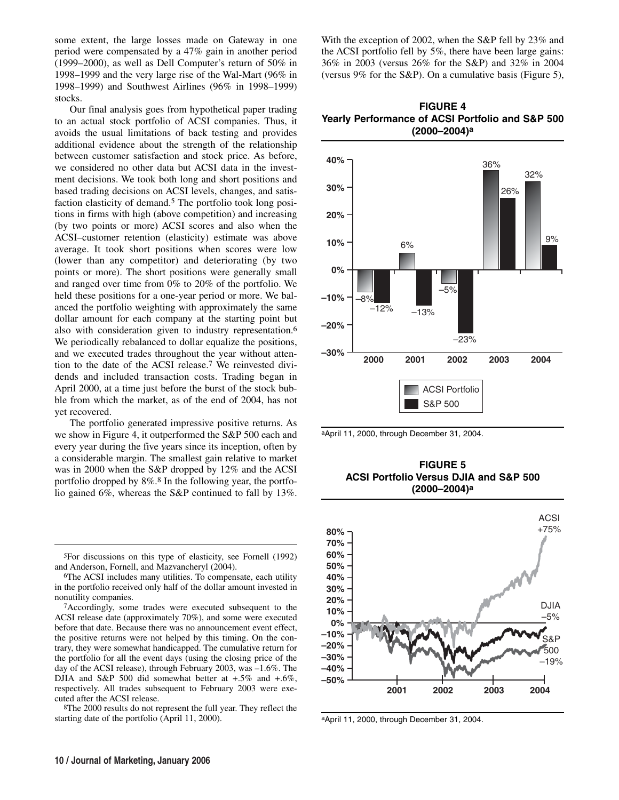some extent, the large losses made on Gateway in one period were compensated by a 47% gain in another period (1999–2000), as well as Dell Computer's return of 50% in 1998–1999 and the very large rise of the Wal-Mart (96% in 1998–1999) and Southwest Airlines (96% in 1998–1999) stocks.

Our final analysis goes from hypothetical paper trading to an actual stock portfolio of ACSI companies. Thus, it avoids the usual limitations of back testing and provides additional evidence about the strength of the relationship between customer satisfaction and stock price. As before, we considered no other data but ACSI data in the investment decisions. We took both long and short positions and based trading decisions on ACSI levels, changes, and satisfaction elasticity of demand.5 The portfolio took long positions in firms with high (above competition) and increasing (by two points or more) ACSI scores and also when the ACSI–customer retention (elasticity) estimate was above average. It took short positions when scores were low (lower than any competitor) and deteriorating (by two points or more). The short positions were generally small and ranged over time from 0% to 20% of the portfolio. We held these positions for a one-year period or more. We balanced the portfolio weighting with approximately the same dollar amount for each company at the starting point but also with consideration given to industry representation.6 We periodically rebalanced to dollar equalize the positions, and we executed trades throughout the year without attention to the date of the ACSI release.7 We reinvested dividends and included transaction costs. Trading began in April 2000, at a time just before the burst of the stock bubble from which the market, as of the end of 2004, has not yet recovered.

The portfolio generated impressive positive returns. As we show in Figure 4, it outperformed the S&P 500 each and every year during the five years since its inception, often by a considerable margin. The smallest gain relative to market was in 2000 when the S&P dropped by 12% and the ACSI portfolio dropped by 8%.8 In the following year, the portfolio gained 6%, whereas the S&P continued to fall by 13%.

7Accordingly, some trades were executed subsequent to the ACSI release date (approximately 70%), and some were executed before that date. Because there was no announcement event effect, the positive returns were not helped by this timing. On the contrary, they were somewhat handicapped. The cumulative return for the portfolio for all the event days (using the closing price of the day of the ACSI release), through February 2003, was –1.6%. The DJIA and S&P 500 did somewhat better at +.5% and +.6%, respectively. All trades subsequent to February 2003 were executed after the ACSI release.

8The 2000 results do not represent the full year. They reflect the starting date of the portfolio (April 11, 2000).

With the exception of 2002, when the S&P fell by 23% and the ACSI portfolio fell by 5%, there have been large gains: 36% in 2003 (versus 26% for the S&P) and 32% in 2004 (versus 9% for the S&P). On a cumulative basis (Figure 5),

#### **FIGURE 4 Yearly Performance of ACSI Portfolio and S&P 500 (2000–2004)a**



aApril 11, 2000, through December 31, 2004.





aApril 11, 2000, through December 31, 2004.

<sup>5</sup>For discussions on this type of elasticity, see Fornell (1992) and Anderson, Fornell, and Mazvancheryl (2004).

<sup>6</sup>The ACSI includes many utilities. To compensate, each utility in the portfolio received only half of the dollar amount invested in nonutility companies.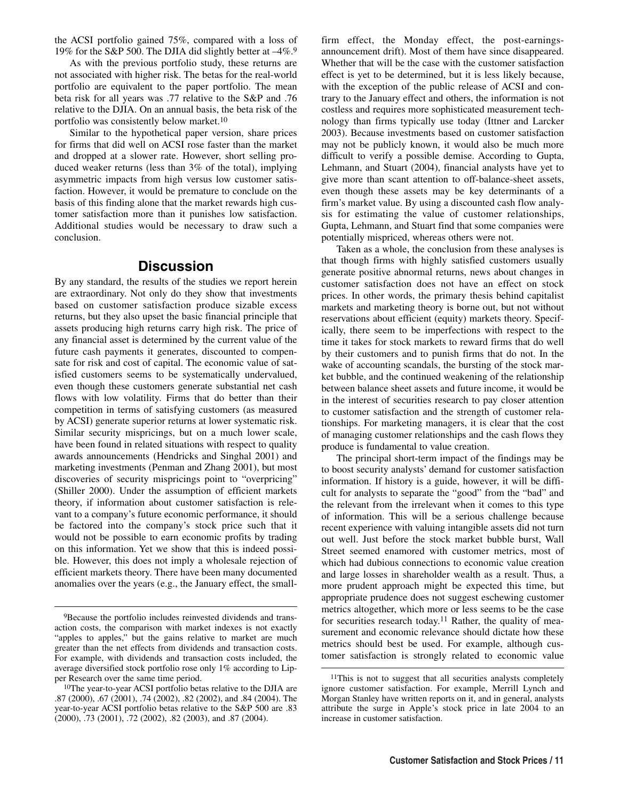the ACSI portfolio gained 75%, compared with a loss of 19% for the S&P 500. The DJIA did slightly better at –4%.9

As with the previous portfolio study, these returns are not associated with higher risk. The betas for the real-world portfolio are equivalent to the paper portfolio. The mean beta risk for all years was .77 relative to the S&P and .76 relative to the DJIA. On an annual basis, the beta risk of the portfolio was consistently below market.10

Similar to the hypothetical paper version, share prices for firms that did well on ACSI rose faster than the market and dropped at a slower rate. However, short selling produced weaker returns (less than 3% of the total), implying asymmetric impacts from high versus low customer satisfaction. However, it would be premature to conclude on the basis of this finding alone that the market rewards high customer satisfaction more than it punishes low satisfaction. Additional studies would be necessary to draw such a conclusion.

## **Discussion**

By any standard, the results of the studies we report herein are extraordinary. Not only do they show that investments based on customer satisfaction produce sizable excess returns, but they also upset the basic financial principle that assets producing high returns carry high risk. The price of any financial asset is determined by the current value of the future cash payments it generates, discounted to compensate for risk and cost of capital. The economic value of satisfied customers seems to be systematically undervalued, even though these customers generate substantial net cash flows with low volatility. Firms that do better than their competition in terms of satisfying customers (as measured by ACSI) generate superior returns at lower systematic risk. Similar security mispricings, but on a much lower scale, have been found in related situations with respect to quality awards announcements (Hendricks and Singhal 2001) and marketing investments (Penman and Zhang 2001), but most discoveries of security mispricings point to "overpricing" (Shiller 2000). Under the assumption of efficient markets theory, if information about customer satisfaction is relevant to a company's future economic performance, it should be factored into the company's stock price such that it would not be possible to earn economic profits by trading on this information. Yet we show that this is indeed possible. However, this does not imply a wholesale rejection of efficient markets theory. There have been many documented anomalies over the years (e.g., the January effect, the small-

firm effect, the Monday effect, the post-earningsannouncement drift). Most of them have since disappeared. Whether that will be the case with the customer satisfaction effect is yet to be determined, but it is less likely because, with the exception of the public release of ACSI and contrary to the January effect and others, the information is not costless and requires more sophisticated measurement technology than firms typically use today (Ittner and Larcker 2003). Because investments based on customer satisfaction may not be publicly known, it would also be much more difficult to verify a possible demise. According to Gupta, Lehmann, and Stuart (2004), financial analysts have yet to give more than scant attention to off-balance-sheet assets, even though these assets may be key determinants of a firm's market value. By using a discounted cash flow analysis for estimating the value of customer relationships, Gupta, Lehmann, and Stuart find that some companies were potentially mispriced, whereas others were not.

Taken as a whole, the conclusion from these analyses is that though firms with highly satisfied customers usually generate positive abnormal returns, news about changes in customer satisfaction does not have an effect on stock prices. In other words, the primary thesis behind capitalist markets and marketing theory is borne out, but not without reservations about efficient (equity) markets theory. Specifically, there seem to be imperfections with respect to the time it takes for stock markets to reward firms that do well by their customers and to punish firms that do not. In the wake of accounting scandals, the bursting of the stock market bubble, and the continued weakening of the relationship between balance sheet assets and future income, it would be in the interest of securities research to pay closer attention to customer satisfaction and the strength of customer relationships. For marketing managers, it is clear that the cost of managing customer relationships and the cash flows they produce is fundamental to value creation.

The principal short-term impact of the findings may be to boost security analysts' demand for customer satisfaction information. If history is a guide, however, it will be difficult for analysts to separate the "good" from the "bad" and the relevant from the irrelevant when it comes to this type of information. This will be a serious challenge because recent experience with valuing intangible assets did not turn out well. Just before the stock market bubble burst, Wall Street seemed enamored with customer metrics, most of which had dubious connections to economic value creation and large losses in shareholder wealth as a result. Thus, a more prudent approach might be expected this time, but appropriate prudence does not suggest eschewing customer metrics altogether, which more or less seems to be the case for securities research today.11 Rather, the quality of measurement and economic relevance should dictate how these metrics should best be used. For example, although customer satisfaction is strongly related to economic value

<sup>9</sup>Because the portfolio includes reinvested dividends and transaction costs, the comparison with market indexes is not exactly "apples to apples," but the gains relative to market are much greater than the net effects from dividends and transaction costs. For example, with dividends and transaction costs included, the average diversified stock portfolio rose only 1% according to Lipper Research over the same time period.

<sup>10</sup>The year-to-year ACSI portfolio betas relative to the DJIA are .87 (2000), .67 (2001), .74 (2002), .82 (2002), and .84 (2004). The year-to-year ACSI portfolio betas relative to the S&P 500 are .83 (2000), .73 (2001), .72 (2002), .82 (2003), and .87 (2004).

<sup>11</sup>This is not to suggest that all securities analysts completely ignore customer satisfaction. For example, Merrill Lynch and Morgan Stanley have written reports on it, and in general, analysts attribute the surge in Apple's stock price in late 2004 to an increase in customer satisfaction.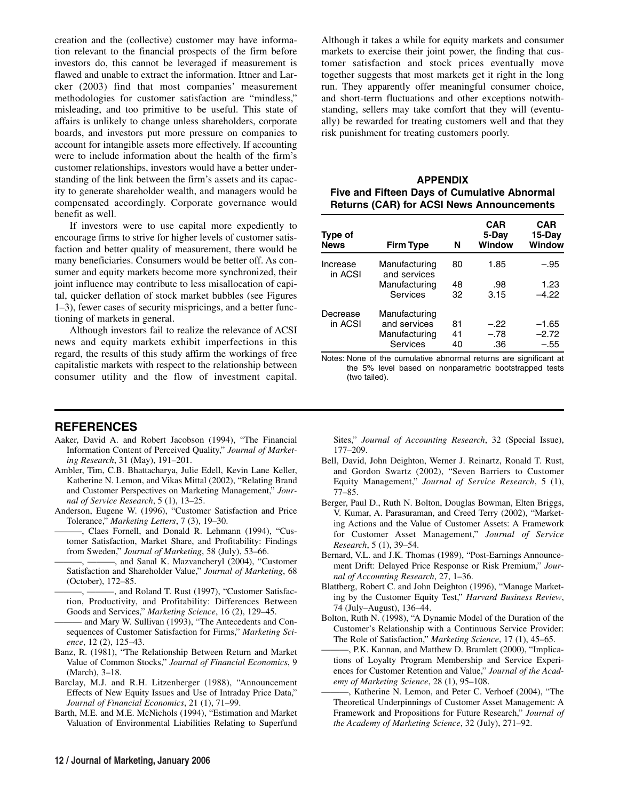creation and the (collective) customer may have information relevant to the financial prospects of the firm before investors do, this cannot be leveraged if measurement is flawed and unable to extract the information. Ittner and Larcker (2003) find that most companies' measurement methodologies for customer satisfaction are "mindless," misleading, and too primitive to be useful. This state of affairs is unlikely to change unless shareholders, corporate boards, and investors put more pressure on companies to account for intangible assets more effectively. If accounting were to include information about the health of the firm's customer relationships, investors would have a better understanding of the link between the firm's assets and its capacity to generate shareholder wealth, and managers would be compensated accordingly. Corporate governance would benefit as well.

If investors were to use capital more expediently to encourage firms to strive for higher levels of customer satisfaction and better quality of measurement, there would be many beneficiaries. Consumers would be better off. As consumer and equity markets become more synchronized, their joint influence may contribute to less misallocation of capital, quicker deflation of stock market bubbles (see Figures 1–3), fewer cases of security mispricings, and a better functioning of markets in general.

Although investors fail to realize the relevance of ACSI news and equity markets exhibit imperfections in this regard, the results of this study affirm the workings of free capitalistic markets with respect to the relationship between consumer utility and the flow of investment capital.

Although it takes a while for equity markets and consumer markets to exercise their joint power, the finding that customer satisfaction and stock prices eventually move together suggests that most markets get it right in the long run. They apparently offer meaningful consumer choice, and short-term fluctuations and other exceptions notwithstanding, sellers may take comfort that they will (eventually) be rewarded for treating customers well and that they risk punishment for treating customers poorly.

| <b>APPENDIX</b>                                     |  |  |  |  |  |
|-----------------------------------------------------|--|--|--|--|--|
| <b>Five and Fifteen Days of Cumulative Abnormal</b> |  |  |  |  |  |
| <b>Returns (CAR) for ACSI News Announcements</b>    |  |  |  |  |  |

| Type of<br><b>News</b> | <b>Firm Type</b>              | N  | <b>CAR</b><br>5-Day<br>Window | CAR<br>$15-Dav$<br>Window |
|------------------------|-------------------------------|----|-------------------------------|---------------------------|
| Increase<br>in ACSI    | Manufacturing<br>and services | 80 | 1.85                          | $-.95$                    |
|                        | Manufacturing                 | 48 | .98                           | 1.23                      |
|                        | Services                      | 32 | 3.15                          | -4.22                     |
| Decrease               | Manufacturing                 |    |                               |                           |
| in ACSI                | and services                  | 81 | $-22$                         | $-1.65$                   |
|                        | Manufacturing                 | 41 | $-.78$                        | $-2.72$                   |
|                        | Services                      | 40 | .36                           | $-.55$                    |

Notes: None of the cumulative abnormal returns are significant at the 5% level based on nonparametric bootstrapped tests (two tailed).

### **REFERENCES**

- Aaker, David A. and Robert Jacobson (1994), "The Financial Information Content of Perceived Quality," *Journal of Marketing Research*, 31 (May), 191–201.
- Ambler, Tim, C.B. Bhattacharya, Julie Edell, Kevin Lane Keller, Katherine N. Lemon, and Vikas Mittal (2002), "Relating Brand and Customer Perspectives on Marketing Management," *Journal of Service Research*, 5 (1), 13–25.
- Anderson, Eugene W. (1996), "Customer Satisfaction and Price Tolerance," *Marketing Letters*, 7 (3), 19–30.

———, Claes Fornell, and Donald R. Lehmann (1994), "Customer Satisfaction, Market Share, and Profitability: Findings from Sweden," *Journal of Marketing*, 58 (July), 53–66.

———, ———, and Sanal K. Mazvancheryl (2004), "Customer Satisfaction and Shareholder Value," *Journal of Marketing*, 68 (October), 172–85.

-, and Roland T. Rust (1997), "Customer Satisfaction, Productivity, and Profitability: Differences Between Goods and Services," *Marketing Science*, 16 (2), 129–45.

and Mary W. Sullivan (1993), "The Antecedents and Consequences of Customer Satisfaction for Firms," *Marketing Science*, 12 (2), 125–43.

Banz, R. (1981), "The Relationship Between Return and Market Value of Common Stocks," *Journal of Financial Economics*, 9 (March), 3–18.

- Barclay, M.J. and R.H. Litzenberger (1988), "Announcement Effects of New Equity Issues and Use of Intraday Price Data," *Journal of Financial Economics*, 21 (1), 71–99.
- Barth, M.E. and M.E. McNichols (1994), "Estimation and Market Valuation of Environmental Liabilities Relating to Superfund

Sites," *Journal of Accounting Research*, 32 (Special Issue), 177–209.

- Bell, David, John Deighton, Werner J. Reinartz, Ronald T. Rust, and Gordon Swartz (2002), "Seven Barriers to Customer Equity Management," *Journal of Service Research*, 5 (1), 77–85.
- Berger, Paul D., Ruth N. Bolton, Douglas Bowman, Elten Briggs, V. Kumar, A. Parasuraman, and Creed Terry (2002), "Marketing Actions and the Value of Customer Assets: A Framework for Customer Asset Management," *Journal of Service Research*, 5 (1), 39–54.

Bernard, V.L. and J.K. Thomas (1989), "Post-Earnings Announcement Drift: Delayed Price Response or Risk Premium," *Journal of Accounting Research*, 27, 1–36.

Blattberg, Robert C. and John Deighton (1996), "Manage Marketing by the Customer Equity Test," *Harvard Business Review*, 74 (July–August), 136–44.

Bolton, Ruth N. (1998), "A Dynamic Model of the Duration of the Customer's Relationship with a Continuous Service Provider: The Role of Satisfaction," *Marketing Science*, 17 (1), 45–65.

-, P.K. Kannan, and Matthew D. Bramlett (2000), "Implications of Loyalty Program Membership and Service Experiences for Customer Retention and Value," *Journal of the Academy of Marketing Science*, 28 (1), 95–108.

———, Katherine N. Lemon, and Peter C. Verhoef (2004), "The Theoretical Underpinnings of Customer Asset Management: A Framework and Propositions for Future Research," *Journal of the Academy of Marketing Science*, 32 (July), 271–92.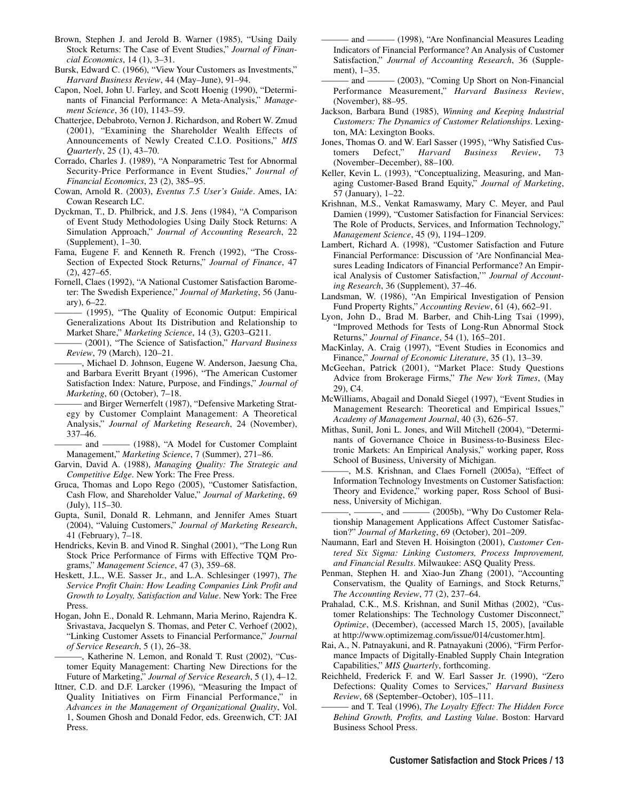- Brown, Stephen J. and Jerold B. Warner (1985), "Using Daily Stock Returns: The Case of Event Studies," *Journal of Financial Economics*, 14 (1), 3–31.
- Bursk, Edward C. (1966), "View Your Customers as Investments," *Harvard Business Review*, 44 (May–June), 91–94.
- Capon, Noel, John U. Farley, and Scott Hoenig (1990), "Determinants of Financial Performance: A Meta-Analysis," *Management Science*, 36 (10), 1143–59.
- Chatterjee, Debabroto, Vernon J. Richardson, and Robert W. Zmud (2001), "Examining the Shareholder Wealth Effects of Announcements of Newly Created C.I.O. Positions," *MIS Quarterly*, 25 (1), 43–70.
- Corrado, Charles J. (1989), "A Nonparametric Test for Abnormal Security-Price Performance in Event Studies," *Journal of Financial Economics*, 23 (2), 385–95.
- Cowan, Arnold R. (2003), *Eventus 7.5 User's Guide*. Ames, IA: Cowan Research LC.
- Dyckman, T., D. Philbrick, and J.S. Jens (1984), "A Comparison of Event Study Methodologies Using Daily Stock Returns: A Simulation Approach," *Journal of Accounting Research*, 22 (Supplement), 1–30.
- Fama, Eugene F. and Kenneth R. French (1992), "The Cross-Section of Expected Stock Returns," *Journal of Finance*, 47 (2), 427–65.
- Fornell, Claes (1992), "A National Customer Satisfaction Barometer: The Swedish Experience," *Journal of Marketing*, 56 (January), 6–22.
- ——— (1995), "The Quality of Economic Output: Empirical Generalizations About Its Distribution and Relationship to Market Share," *Marketing Science*, 14 (3), G203–G211.
- ——— (2001), "The Science of Satisfaction," *Harvard Business Review*, 79 (March), 120–21.
- -, Michael D. Johnson, Eugene W. Anderson, Jaesung Cha, and Barbara Everitt Bryant (1996), "The American Customer Satisfaction Index: Nature, Purpose, and Findings," *Journal of Marketing*, 60 (October), 7–18.
- and Birger Wernerfelt (1987), "Defensive Marketing Strategy by Customer Complaint Management: A Theoretical Analysis," *Journal of Marketing Research*, 24 (November), 337–46.
- and ——— (1988), "A Model for Customer Complaint Management," *Marketing Science*, 7 (Summer), 271–86.
- Garvin, David A. (1988), *Managing Quality: The Strategic and Competitive Edge*. New York: The Free Press.
- Gruca, Thomas and Lopo Rego (2005), "Customer Satisfaction, Cash Flow, and Shareholder Value," *Journal of Marketing*, 69 (July), 115–30.
- Gupta, Sunil, Donald R. Lehmann, and Jennifer Ames Stuart (2004), "Valuing Customers," *Journal of Marketing Research*, 41 (February), 7–18.
- Hendricks, Kevin B. and Vinod R. Singhal (2001), "The Long Run Stock Price Performance of Firms with Effective TQM Programs," *Management Science*, 47 (3), 359–68.
- Heskett, J.L., W.E. Sasser Jr., and L.A. Schlesinger (1997), *The Service Profit Chain: How Leading Companies Link Profit and Growth to Loyalty, Satisfaction and Value*. New York: The Free Press.
- Hogan, John E., Donald R. Lehmann, Maria Merino, Rajendra K. Srivastava, Jacquelyn S. Thomas, and Peter C. Verhoef (2002), "Linking Customer Assets to Financial Performance," *Journal of Service Research*, 5 (1), 26–38.
- ———, Katherine N. Lemon, and Ronald T. Rust (2002), "Customer Equity Management: Charting New Directions for the Future of Marketing," *Journal of Service Research*, 5 (1), 4–12.
- Ittner, C.D. and D.F. Larcker (1996), "Measuring the Impact of Quality Initiatives on Firm Financial Performance," in *Advances in the Management of Organizational Quality*, Vol. 1, Soumen Ghosh and Donald Fedor, eds. Greenwich, CT: JAI Press.
- and ——— (1998), "Are Nonfinancial Measures Leading Indicators of Financial Performance? An Analysis of Customer Satisfaction," *Journal of Accounting Research*, 36 (Supplement), 1–35.
- and ——— (2003), "Coming Up Short on Non-Financial Performance Measurement," *Harvard Business Review*, (November), 88–95.
- Jackson, Barbara Bund (1985), *Winning and Keeping Industrial Customers: The Dynamics of Customer Relationships*. Lexington, MA: Lexington Books.
- Jones, Thomas O. and W. Earl Sasser (1995), "Why Satisfied Customers Defect," *Harvard Business Review*, 73 (November–December), 88–100.
- Keller, Kevin L. (1993), "Conceptualizing, Measuring, and Managing Customer-Based Brand Equity," *Journal of Marketing*, 57 (January), 1–22.
- Krishnan, M.S., Venkat Ramaswamy, Mary C. Meyer, and Paul Damien (1999), "Customer Satisfaction for Financial Services: The Role of Products, Services, and Information Technology," *Management Science*, 45 (9), 1194–1209.
- Lambert, Richard A. (1998), "Customer Satisfaction and Future Financial Performance: Discussion of 'Are Nonfinancial Measures Leading Indicators of Financial Performance? An Empirical Analysis of Customer Satisfaction,'" *Journal of Accounting Research*, 36 (Supplement), 37–46.
- Landsman, W. (1986), "An Empirical Investigation of Pension Fund Property Rights," *Accounting Review*, 61 (4), 662–91.
- Lyon, John D., Brad M. Barber, and Chih-Ling Tsai (1999), "Improved Methods for Tests of Long-Run Abnormal Stock Returns," *Journal of Finance*, 54 (1), 165–201.
- MacKinlay, A. Craig (1997), "Event Studies in Economics and Finance," *Journal of Economic Literature*, 35 (1), 13–39.
- McGeehan, Patrick (2001), "Market Place: Study Questions Advice from Brokerage Firms," *The New York Times*, (May 29), C4.
- McWilliams, Abagail and Donald Siegel (1997), "Event Studies in Management Research: Theoretical and Empirical Issues," *Academy of Management Journal*, 40 (3), 626–57.
- Mithas, Sunil, Joni L. Jones, and Will Mitchell (2004), "Determinants of Governance Choice in Business-to-Business Electronic Markets: An Empirical Analysis," working paper, Ross School of Business, University of Michigan.
- ———, M.S. Krishnan, and Claes Fornell (2005a), "Effect of Information Technology Investments on Customer Satisfaction: Theory and Evidence," working paper, Ross School of Business, University of Michigan.
- -, ———, and ——— (2005b), "Why Do Customer Relationship Management Applications Affect Customer Satisfaction?" *Journal of Marketing*, 69 (October), 201–209.
- Naumann, Earl and Steven H. Hoisington (2001), *Customer Centered Six Sigma: Linking Customers, Process Improvement, and Financial Results*. Milwaukee: ASQ Quality Press.
- Penman, Stephen H. and Xiao-Jun Zhang (2001), "Accounting Conservatism, the Quality of Earnings, and Stock Returns," *The Accounting Review*, 77 (2), 237–64.
- Prahalad, C.K., M.S. Krishnan, and Sunil Mithas (2002), "Customer Relationships: The Technology Customer Disconnect," *Optimize*, (December), (accessed March 15, 2005), [available at http://www.optimizemag.com/issue/014/customer.htm].
- Rai, A., N. Patnayakuni, and R. Patnayakuni (2006), "Firm Performance Impacts of Digitally-Enabled Supply Chain Integration Capabilities," *MIS Quarterly*, forthcoming.
- Reichheld, Frederick F. and W. Earl Sasser Jr. (1990), "Zero Defections: Quality Comes to Services," *Harvard Business Review*, 68 (September–October), 105–111.
	- ——— and T. Teal (1996), *The Loyalty Effect: The Hidden Force Behind Growth, Profits, and Lasting Value*. Boston: Harvard Business School Press.